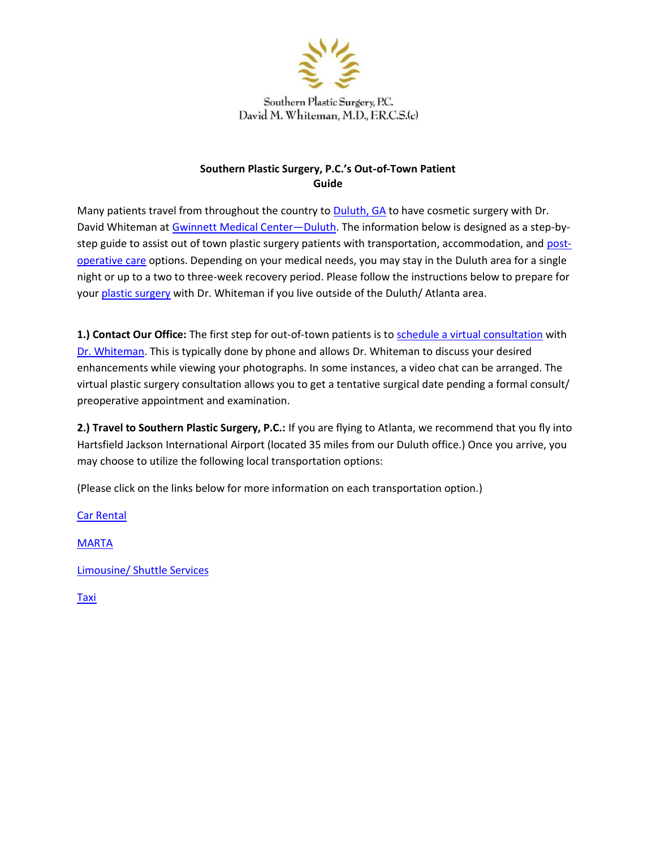

Southern Plastic Surgery, P.C. David M. Whiteman, M.D., F.R.C.S.(c)

# **Southern Plastic Surgery, P.C.'s Out-of-Town Patient Guide**

Many patients travel from throughout the country to [Duluth, GA](http://maps.google.com/maps?q=Southern%2BPlastic%2BSurgery%2C%2BP.C.&hl=en&client=firefox-a&hs=jwu&rls=org.mozilla%3Aen-US%3Aofficial&prmd=imvns&resnum=8&bav=on.2%2Cor.r_gc.r_pw.r_cp.&biw=1440&bih=681&um=1&ie=UTF-8&ei=GSVyTpKVMcXDgQfA-p2NBQ&sa=X&oi=mode_link&ct=mode&cd) to have cosmetic surgery with Dr. David Whiteman at [Gwinnett Medical Center](http://www.gwinnettmedicalcenter.org/facilities/GMCContentPage.aspx?nd=49)—Dulut[h.](http://www.gwinnettmedicalcenter.org/facilities/GMCContentPage.aspx?nd=49) The information below is designed as a step-bystep guide to assist out of town plastic surgery patients with transportation, accommodation, and [post](http://www.southernplasticsurgery.com/pdf/Dr.%20Whiteman%20Post%20Surgical%20Survey.pdf)[operative care](http://www.southernplasticsurgery.com/pdf/Dr.%20Whiteman%20Post%20Surgical%20Survey.pdf) options. Depending on your medical needs, you may stay in the Duluth area for a single night or up to a two to three-week recovery period. Please follow the instructions below to prepare for your [plastic surgery](http://www.southernplasticsurgery.com/html/aboutus.html) with Dr. Whiteman if you live outside of the Duluth/ Atlanta area.

**1.) Contact Our Office:** The first step for out-of-town patients is to [schedule a virtual consultation](http://www.southernplasticsurgery.com/contact/) [w](http://www.southernplasticsurgery.com/contact/)ith [Dr. Whiteman.](http://www.southernplasticsurgery.com/html/plastic-surgeon-atlanta-ga.html) This is typically done by phone and allows Dr. Whiteman to discuss your desired enhancements while viewing your photographs. In some instances, a video chat can be arranged. The virtual plastic surgery consultation allows you to get a tentative surgical date pending a formal consult/ preoperative appointment and examination.

**2.) Travel to Southern Plastic Surgery, P.C.:** If you are flying to Atlanta, we recommend that you fly into Hartsfield Jackson International Airport (located 35 miles from our Duluth office.) Once you arrive, you may choose to utilize the following local transportation options:

(Please click on the links below for more information on each transportation option.)

[Car Rental](http://www.enterprise.com/car_rental/deeplinkmap.do?gpbr=0311&bid=004&cnty=US)

**[MARTA](http://www.itsmarta.com/)** 

[Limousine/ Shuttle Services](http://www.atvipride.com/)

[Taxi](http://www.gwinnettstartaxinlimo.com/)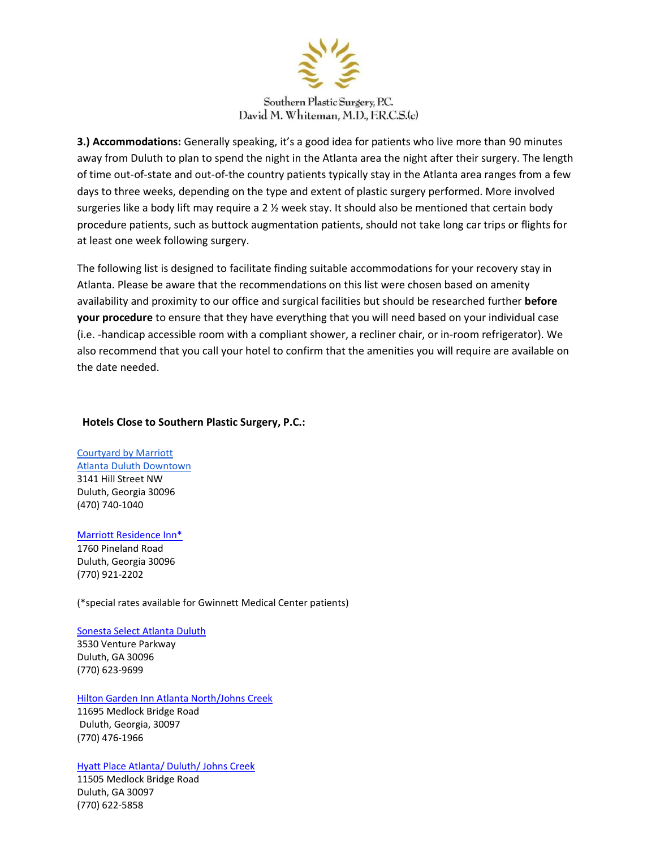

## Southern Plastic Surgery, P.C. David M. Whiteman, M.D., F.R.C.S.(c)

**3.) Accommodations:** Generally speaking, it's a good idea for patients who live more than 90 minutes away from Duluth to plan to spend the night in the Atlanta area the night after their surgery. The length of time out-of-state and out-of-the country patients typically stay in the Atlanta area ranges from a few days to three weeks, depending on the type and extent of plastic surgery performed. More involved surgeries like a body lift may require a 2  $\frac{1}{2}$  week stay. It should also be mentioned that certain body procedure patients, such as buttock augmentation patients, should not take long car trips or flights for at least one week following surgery.

The following list is designed to facilitate finding suitable accommodations for your recovery stay in Atlanta. Please be aware that the recommendations on this list were chosen based on amenity availability and proximity to our office and surgical facilities but should be researched further **before your procedure** to ensure that they have everything that you will need based on your individual case (i.e. -handicap accessible room with a compliant shower, a recliner chair, or in-room refrigerator). We also recommend that you call your hotel to confirm that the amenities you will require are available on the date needed.

#### **Hotels Close to Southern Plastic Surgery, P.C.:**

[Courtyard by Marriott](https://www.marriott.com/en-us/hotels/atlch-courtyard-atlanta-duluth-downtown/overview/)  [Atlanta Duluth Downtown](https://www.marriott.com/en-us/hotels/atlch-courtyard-atlanta-duluth-downtown/overview/) 3141 Hill Street NW Duluth, Georgia 30096 (470) 740-1040

## [Marriott Residence Inn\\*](http://www.marriott.com/hotels/travel/atlgw-residence-inn-atlanta-gwinnett-place/)

1760 Pineland Road Duluth, Georgia 30096 (770) 921-2202

(\*special rates available for Gwinnett Medical Center patients)

## [Sonesta Select Atlanta Duluth](https://www.sonesta.com/select)

3530 Venture Parkway Duluth, GA 30096 (770) 623-9699

#### [Hilton Garden Inn Atlanta North/Johns Creek](http://hiltongardeninn.hilton.com/en/gi/hotels/index.jhtml%3Bjsessionid%3DGMTXXA5SQKR1MCSGBIXMVCQ?ctyhocn=ATLJCGI)

11695 Medlock Bridge Road Duluth, Georgia, 30097 (770) 476-1966

## [Hyatt Place Atlanta/ Duluth/ Johns Creek](http://atlantaduluthjohnscreek.place.hyatt.com/hyatt/hotels/place/index.jsp)

11505 Medlock Bridge Road Duluth, GA 30097 (770) 622-5858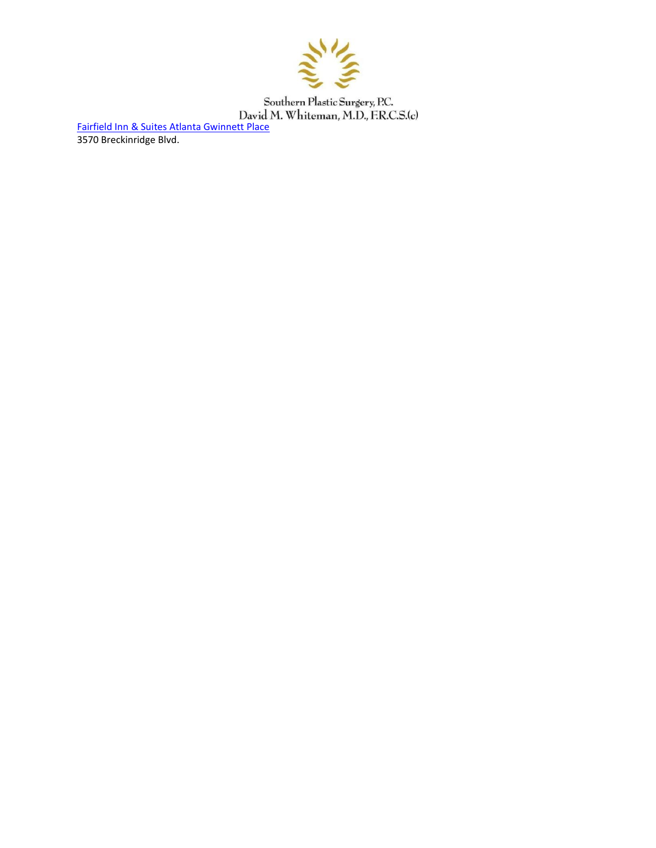

[Fairfield Inn & Suites Atlanta Gwinnett Place](http://www.marriott.com/hotels/travel/atlga-fairfield-inn-and-suites-atlanta-gwinnett-place/) 3570 Breckinridge Blvd.